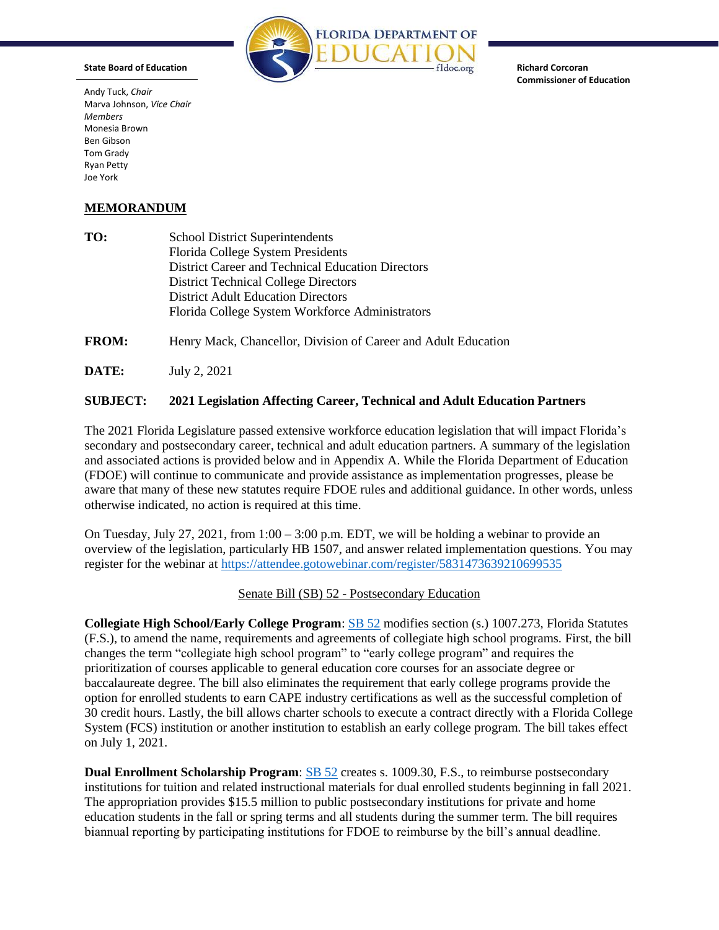

**Richard Corcoran Commissioner of Education** 

Andy Tuck, *Chair*  Marva Johnson, *Vice Chair Members*  Monesia Brown Ben Gibson Tom Grady Ryan Petty Joe York

**State Board of Education** 

## **MEMORANDUM**

| TO: | <b>School District Superintendents</b>            |
|-----|---------------------------------------------------|
|     | Florida College System Presidents                 |
|     | District Career and Technical Education Directors |
|     | <b>District Technical College Directors</b>       |
|     | <b>District Adult Education Directors</b>         |
|     | Florida College System Workforce Administrators   |
|     |                                                   |

**FROM:** Henry Mack, Chancellor, Division of Career and Adult Education

**DATE:** July 2, 2021

## **SUBJECT: 2021 Legislation Affecting Career, Technical and Adult Education Partners**

The 2021 Florida Legislature passed extensive workforce education legislation that will impact Florida's secondary and postsecondary career, technical and adult education partners. A summary of the legislation and associated actions is provided below and in Appendix A. While the Florida Department of Education (FDOE) will continue to communicate and provide assistance as implementation progresses, please be aware that many of these new statutes require FDOE rules and additional guidance. In other words, unless otherwise indicated, no action is required at this time.

register for the webinar at https://attendee.gotowebinar.com/register/5831473639210699535 On Tuesday, July 27, 2021, from 1:00 – 3:00 p.m. EDT, we will be holding a webinar to provide an overview of the legislation, particularly HB 1507, and answer related implementation questions. You may

Senate Bill (SB) 52 - [Postsecondary Education](https://www.flsenate.gov/Session/Bill/2021/52/BillText/er/PDF) 

 System (FCS) institution or another institution to establish an early college program. The bill takes effect **Collegiate High School/Early College Program**: [SB 52](https://www.flsenate.gov/Session/Bill/2021/52/BillText/er/PDF) modifies [section \(s.\) 1007.273, Florida Statutes](https://www.flsenate.gov/Laws/Statutes/2020/1007.273)  [\(F.S.\)](https://www.flsenate.gov/Laws/Statutes/2020/1007.273), to amend the name, requirements and agreements of collegiate high school programs. First, the bill changes the term "collegiate high school program" to "early college program" and requires the prioritization of courses applicable to general education core courses for an associate degree or baccalaureate degree. The bill also eliminates the requirement that early college programs provide the option for enrolled students to earn CAPE industry certifications as well as the successful completion of 30 credit hours. Lastly, the bill allows charter schools to execute a contract directly with a Florida College on July 1, 2021.

 biannual reporting by participating institutions for FDOE to reimburse by the bill's annual deadline.**Dual Enrollment Scholarship Program**: **SB 52** creates s. 1009.30, F.S., to reimburse postsecondary institutions for tuition and related instructional materials for dual enrolled students beginning in fall 2021. The appropriation provides \$15.5 million to public postsecondary institutions for private and home education students in the fall or spring terms and all students during the summer term. The bill requires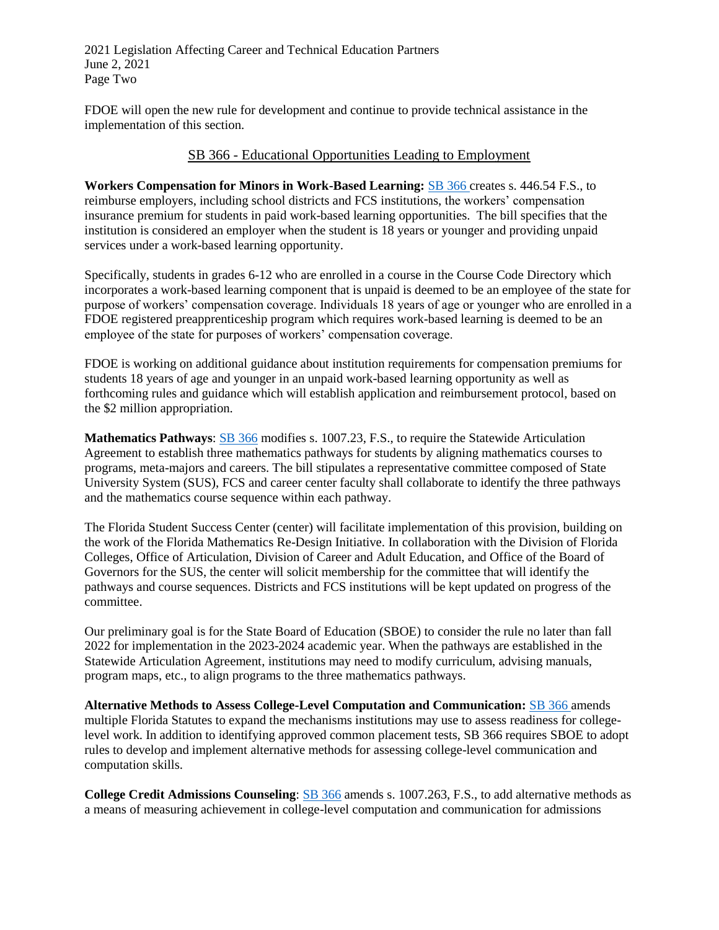2021 Legislation Affecting Career and Technical Education Partners June 2, 2021 Page Two

FDOE will open the new rule for development and continue to provide technical assistance in the implementation of this section.

## SB 366 - [Educational Opportunities Leading to Employment](https://www.flsenate.gov/Session/Bill/2021/366/BillText/er/PDF)

 insurance premium for students in paid work-based learning opportunities. The bill specifies that the **Workers Compensation for Minors in Work-Based Learning:** [SB 366](https://www.flsenate.gov/Session/Bill/2021/366/BillText/er/PDF) creates s. 446.54 F.S., to reimburse employers, including school districts and FCS institutions, the workers' compensation institution is considered an employer when the student is 18 years or younger and providing unpaid services under a work-based learning opportunity.

Specifically, students in grades 6-12 who are enrolled in a course in the Course Code Directory which incorporates a work-based learning component that is unpaid is deemed to be an employee of the state for purpose of workers' compensation coverage. Individuals 18 years of age or younger who are enrolled in a FDOE registered preapprenticeship program which requires work-based learning is deemed to be an employee of the state for purposes of workers' compensation coverage.

 students 18 years of age and younger in an unpaid work-based learning opportunity as well as FDOE is working on additional guidance about institution requirements for compensation premiums for forthcoming rules and guidance which will establish application and reimbursement protocol, based on the \$2 million appropriation.

and the mathematics course sequence within each pathway. **Mathematics Pathways**: [SB 366](https://www.flsenate.gov/Session/Bill/2021/366/BillText/er/PDF) modifie[s s. 1007.23, F.S.](https://www.flsenate.gov/Laws/Statutes/2020/1007.273), to require the Statewide Articulation Agreement to establish three mathematics pathways for students by aligning mathematics courses to programs, meta-majors and careers. The bill stipulates a representative committee composed of State University System (SUS), FCS and career center faculty shall collaborate to identify the three pathways

 Governors for the SUS, the center will solicit membership for the committee that will identify the The Florida Student Success Center (center) will facilitate implementation of this provision, building on the work of the Florida Mathematics Re-Design Initiative. In collaboration with the Division of Florida Colleges, Office of Articulation, Division of Career and Adult Education, and Office of the Board of pathways and course sequences. Districts and FCS institutions will be kept updated on progress of the committee.

Our preliminary goal is for the State Board of Education (SBOE) to consider the rule no later than fall 2022 for implementation in the 2023-2024 academic year. When the pathways are established in the Statewide Articulation Agreement, institutions may need to modify curriculum, advising manuals, program maps, etc., to align programs to the three mathematics pathways.

 multiple Florida Statutes to expand the mechanisms institutions may use to assess readiness for college- computation skills. **Alternative Methods to Assess College-Level Computation and Communication:** [SB 366](https://www.flsenate.gov/Session/Bill/2021/366/BillText/er/PDF) amends level work. In addition to identifying approved common placement tests, SB 366 requires SBOE to adopt rules to develop and implement alternative methods for assessing college-level communication and

**College Credit Admissions Counseling**: [SB 366](https://www.flsenate.gov/Session/Bill/2021/366/BillText/er/PDF) amend[s s. 1007.263, F.S.,](https://www.flsenate.gov/Laws/Statutes/2020/1007.263) to add alternative methods as a means of measuring achievement in college-level computation and communication for admissions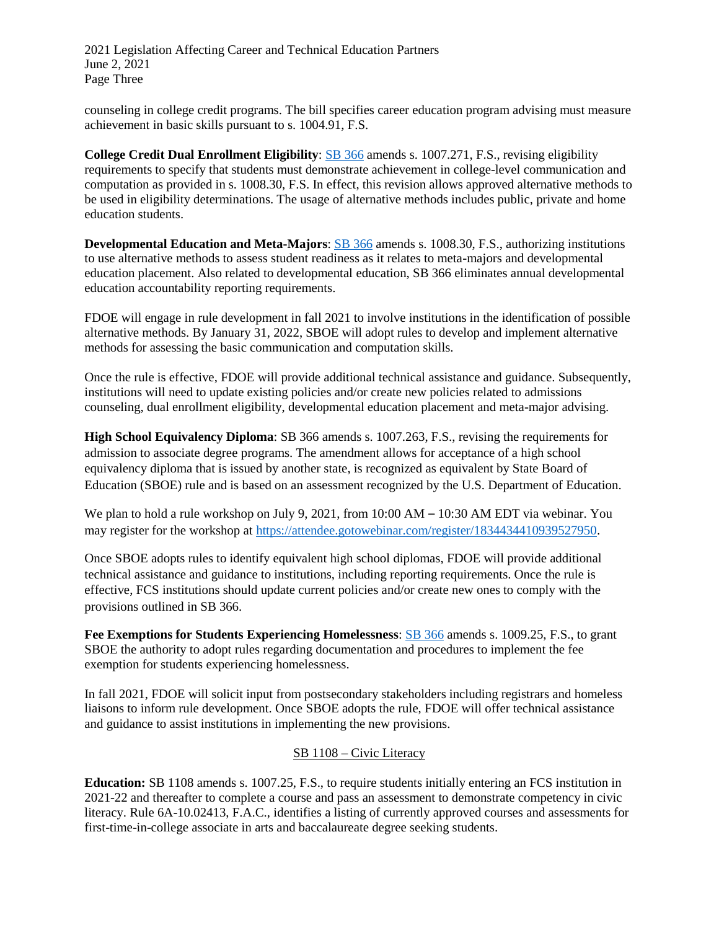2021 Legislation Affecting Career and Technical Education Partners June 2, 2021 Page Three

counseling in college credit programs. The bill specifies career education program advising must measure achievement in basic skills pursuant to [s. 1004.91, F.S.](https://www.flsenate.gov/Laws/Statutes/2020/1004.91) 

**College Credit Dual Enrollment Eligibility**: [SB 366](https://www.flsenate.gov/Session/Bill/2021/366/BillText/er/PDF) amends [s. 1007.271, F.S.](https://www.flsenate.gov/Laws/Statutes/2020/1007.271), revising eligibility requirements to specify that students must demonstrate achievement in college-level communication and computation as provided in s. 1008.30, F.S. In effect, this revision allows approved alternative methods to be used in eligibility determinations. The usage of alternative methods includes public, private and home education students.

**Developmental Education and Meta-Majors**: [SB 366](https://www.flsenate.gov/Session/Bill/2021/366/BillText/er/PDF) amends [s. 1008.30, F.S.](https://www.flsenate.gov/Laws/Statutes/2020/1008.30), authorizing institutions to use alternative methods to assess student readiness as it relates to meta-majors and developmental education placement. Also related to developmental education, SB 366 eliminates annual developmental education accountability reporting requirements.

 alternative methods. By January 31, 2022, SBOE will adopt rules to develop and implement alternative methods for assessing the basic communication and computation skills. FDOE will engage in rule development in fall 2021 to involve institutions in the identification of possible

Once the rule is effective, FDOE will provide additional technical assistance and guidance. Subsequently, institutions will need to update existing policies and/or create new policies related to admissions counseling, dual enrollment eligibility, developmental education placement and meta-major advising.

**High School Equivalency Diploma**: SB 366 amends s. 1007.263, F.S., revising the requirements for admission to associate degree programs. The amendment allows for acceptance of a high school equivalency diploma that is issued by another state, is recognized as equivalent by State Board of Education (SBOE) rule and is based on an assessment recognized by the U.S. Department of Education.

We plan to hold a rule workshop on July 9, 2021, from 10:00 AM – 10:30 AM EDT via webinar. You may register for the workshop at [https://attendee.gotowebinar.com/register/1834434410939527950.](https://attendee.gotowebinar.com/register/1834434410939527950)

Once SBOE adopts rules to identify equivalent high school diplomas, FDOE will provide additional technical assistance and guidance to institutions, including reporting requirements. Once the rule is effective, FCS institutions should update current policies and/or create new ones to comply with the provisions outlined in SB 366.

exemption for students experiencing homelessness. **Fee Exemptions for Students Experiencing Homelessness**: [SB 366](https://www.flsenate.gov/Session/Bill/2021/366/BillText/er/PDF) amends [s. 1009.25, F.S.,](https://www.flsenate.gov/Laws/Statutes/2020/1009.25) to grant SBOE the authority to adopt rules regarding documentation and procedures to implement the fee

exemption for students experiencing homelessness.<br>In fall 2021, FDOE will solicit input from postsecondary stakeholders including registrars and homeless liaisons to inform rule development. Once SBOE adopts the rule, FDOE will offer technical assistance and guidance to assist institutions in implementing the new provisions.

# SB 1108 – Civic Literacy

**Education:** SB 1108 amends s. 1007.25, F.S., to require students initially entering an FCS institution in 2021-22 and thereafter to complete a course and pass an assessment to demonstrate competency in civic literacy. Rule 6A-10.02413, F.A.C., identifies a listing of currently approved courses and assessments for first-time-in-college associate in arts and baccalaureate degree seeking students.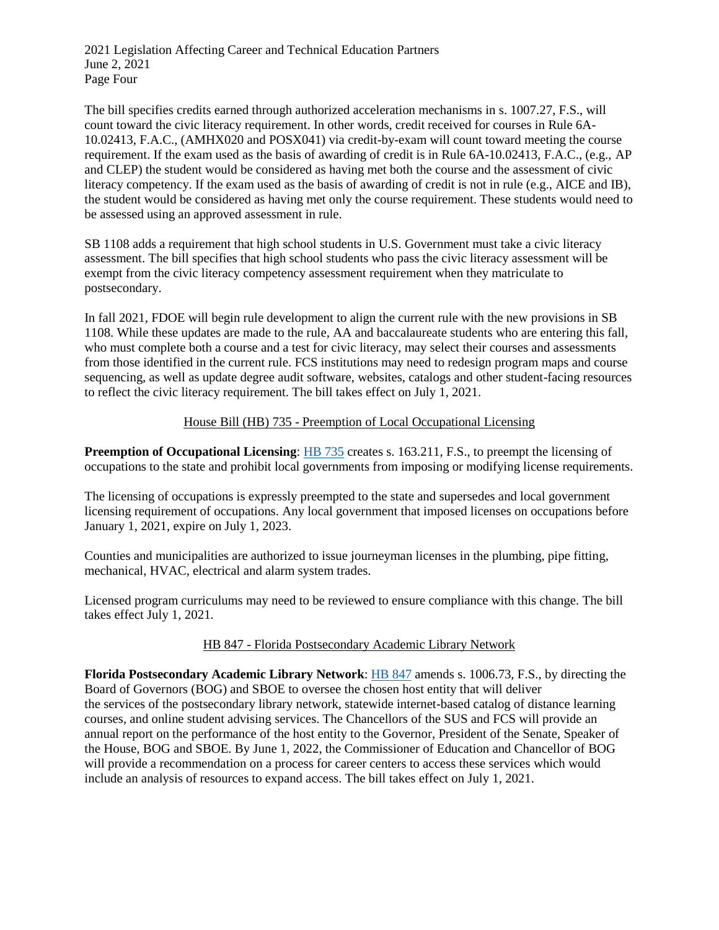2021 Legislation Affecting Career and Technical Education Partners June 2, 2021 Page Four

The bill specifies credits earned through authorized acceleration mechanisms in s. 1007.27, F.S., will count toward the civic literacy requirement. In other words, credit received for courses in Rule 6A-10.02413, F.A.C., (AMHX020 and POSX041) via credit-by-exam will count toward meeting the course requirement. If the exam used as the basis of awarding of credit is in Rule 6A-10.02413, F.A.C., (e.g., AP and CLEP) the student would be considered as having met both the course and the assessment of civic literacy competency. If the exam used as the basis of awarding of credit is not in rule (e.g., AICE and IB), the student would be considered as having met only the course requirement. These students would need to be assessed using an approved assessment in rule.

SB 1108 adds a requirement that high school students in U.S. Government must take a civic literacy assessment. The bill specifies that high school students who pass the civic literacy assessment will be exempt from the civic literacy competency assessment requirement when they matriculate to postsecondary.

In fall 2021, FDOE will begin rule development to align the current rule with the new provisions in SB 1108. While these updates are made to the rule, AA and baccalaureate students who are entering this fall, who must complete both a course and a test for civic literacy, may select their courses and assessments from those identified in the current rule. FCS institutions may need to redesign program maps and course sequencing, as well as update degree audit software, websites, catalogs and other student-facing resources to reflect the civic literacy requirement. The bill takes effect on July 1, 2021.

### House Bill (HB) 735 - [Preemption of Local Occupational Licensing](https://www.flsenate.gov/Session/Bill/2021/735/BillText/er/PDF)

**Preemption of Occupational Licensing: HB** 735 creates s. 163.211, F.S., to preempt the licensing of occupations to the state and prohibit local governments from imposing or modifying license requirements.

The licensing of occupations is expressly preempted to the state and supersedes and local government licensing requirement of occupations. Any local government that imposed licenses on occupations before January 1, 2021, expire on July 1, 2023.

Counties and municipalities are authorized to issue journeyman licenses in the plumbing, pipe fitting, mechanical, HVAC, electrical and alarm system trades.

Licensed program curriculums may need to be reviewed to ensure compliance with this change. The bill takes effect July 1, 2021.

### HB 847 - [Florida Postsecondary Academic Library Network](https://www.flsenate.gov/Session/Bill/2021/847/BillText/er/PDF)

**Florida Postsecondary Academic Library Network**: [HB 847](https://www.flsenate.gov/Session/Bill/2021/847/BillText/er/PDF) amend[s s. 1006.73, F.S.,](https://www.flsenate.gov/Laws/Statutes/2020/1006.73) by directing the Board of Governors (BOG) and SBOE to oversee the chosen host entity that will deliver the services of the postsecondary library network, statewide internet-based catalog of distance learning courses, and online student advising services. The Chancellors of the SUS and FCS will provide an annual report on the performance of the host entity to the Governor, President of the Senate, Speaker of the House, BOG and SBOE. By June 1, 2022, the Commissioner of Education and Chancellor of BOG will provide a recommendation on a process for career centers to access these services which would include an analysis of resources to expand access. The bill takes effect on July 1, 2021.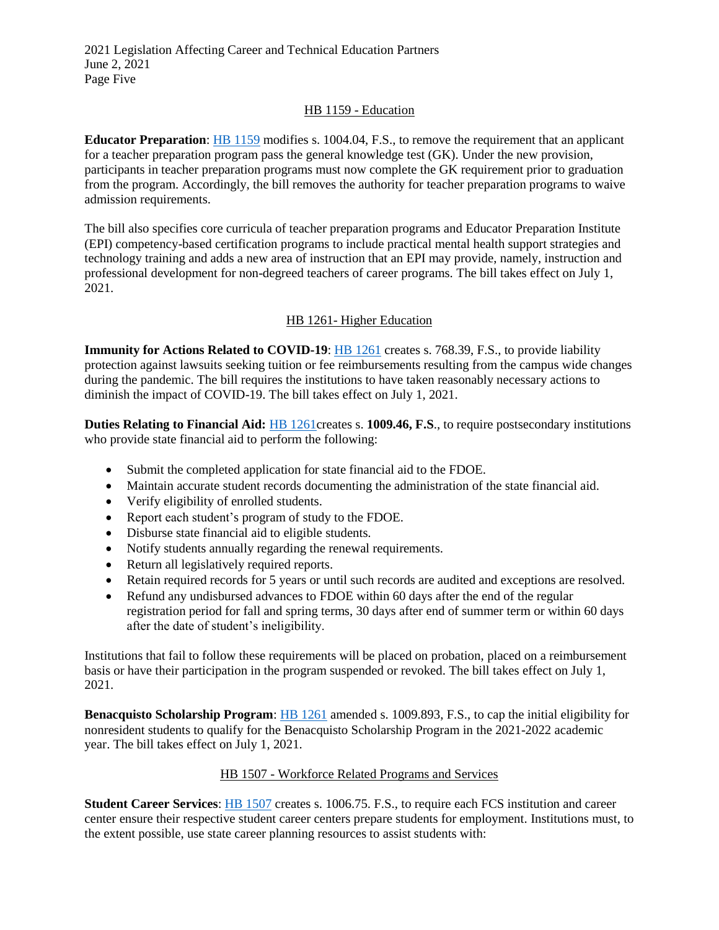### HB 1159 - [Education](https://www.flsenate.gov/Session/Bill/2021/1159/BillText/er/PDF)

**Educator Preparation**: [HB 1159](https://www.flsenate.gov/Session/Bill/2021/1159/BillText/er/PDF) modifies [s. 1004.04, F.S.,](https://www.flsenate.gov/Laws/Statutes/2020/1004.04) to remove the requirement that an applicant for a teacher preparation program pass the general knowledge test (GK). Under the new provision, participants in teacher preparation programs must now complete the GK requirement prior to graduation from the program. Accordingly, the bill removes the authority for teacher preparation programs to waive admission requirements.

The bill also specifies core curricula of teacher preparation programs and Educator Preparation Institute (EPI) competency-based certification programs to include practical mental health support strategies and technology training and adds a new area of instruction that an EPI may provide, namely, instruction and professional development for non-degreed teachers of career programs. The bill takes effect on July 1, 2021.

# HB 1261- [Higher Education](https://www.flsenate.gov/Session/Bill/2021/1261/BillText/er/PDF)

 diminish the impact of COVID-19. The bill takes effect on July 1, 2021. **Immunity for Actions Related to COVID-19**[: HB 1261](https://www.flsenate.gov/Session/Bill/2021/1261/BillText/er/PDF) creates s. 768.39, F.S., to provide liability protection against lawsuits seeking tuition or fee reimbursements resulting from the campus wide changes during the pandemic. The bill requires the institutions to have taken reasonably necessary actions to

**Duties Relating to Financial Aid: HB** 1261creates s. **1009.46, F.S.**, to require postsecondary institutions who provide state financial aid to perform the following:

- Submit the completed application for state financial aid to the FDOE.
- Maintain accurate student records documenting the administration of the state financial aid.
- Verify eligibility of enrolled students.
- Report each student's program of study to the FDOE.
- Disburse state financial aid to eligible students.
- Notify students annually regarding the renewal requirements.
- Return all legislatively required reports.
- Retain required records for 5 years or until such records are audited and exceptions are resolved.
- after the date of student's ineligibility. Refund any undisbursed advances to FDOE within 60 days after the end of the regular registration period for fall and spring terms, 30 days after end of summer term or within 60 days

 Institutions that fail to follow these requirements will be placed on probation, placed on a reimbursement basis or have their participation in the program suspended or revoked. The bill takes effect on July 1, 2021.

year. The bill takes effect on July 1, 2021. **Benacquisto Scholarship Program**: [HB 1261](https://www.flsenate.gov/Session/Bill/2021/1261/BillText/er/PDF) amended [s. 1009.893, F.S.](https://www.flsenate.gov/Laws/Statutes/2020/1009.893), to cap the initial eligibility for nonresident students to qualify for the Benacquisto Scholarship Program in the 2021-2022 academic

### HB 1507 - Workforce Related Programs and Services

**Student Career Services**: [HB 1507](https://www.flsenate.gov/Session/Bill/2021/1507/BillText/er/PDF) creates s. 1006.75. F.S., to require each FCS institution and career center ensure their respective student career centers prepare students for employment. Institutions must, to the extent possible, use state career planning resources to assist students with: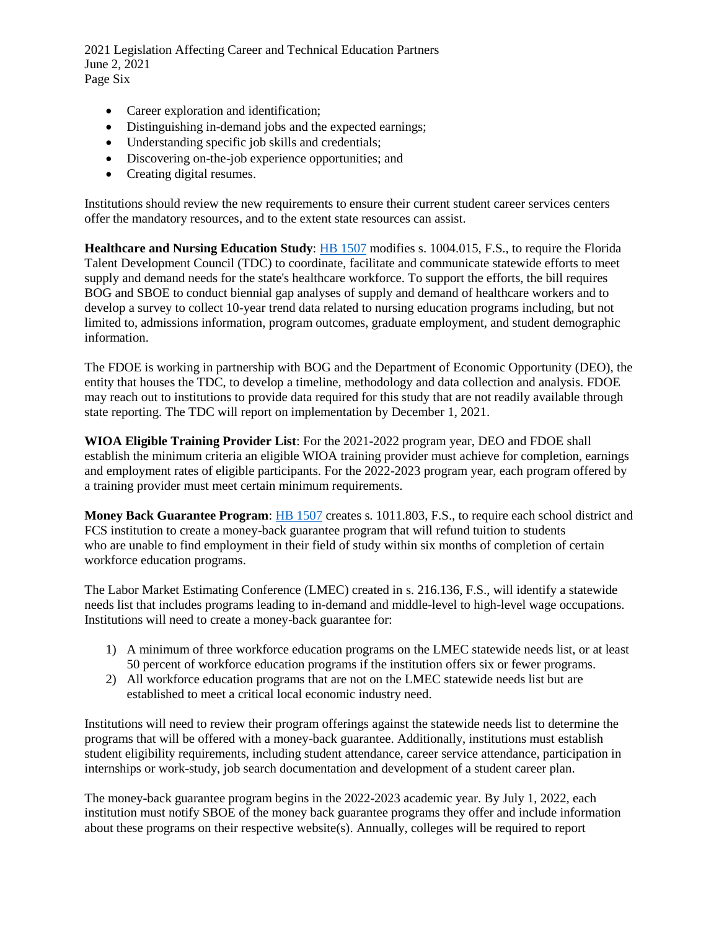2021 Legislation Affecting Career and Technical Education Partners June 2, 2021 Page Six

- Career exploration and identification;
- Distinguishing in-demand jobs and the expected earnings;
- Understanding specific job skills and credentials;
- Discovering on-the-job experience opportunities; and
- Creating digital resumes.

Institutions should review the new requirements to ensure their current student career services centers offer the mandatory resources, and to the extent state resources can assist.

information. **Healthcare and Nursing Education Study**: [HB 1507](https://www.flsenate.gov/Session/Bill/2021/1507/BillText/er/PDF) modifies [s. 1004.015, F.S.,](http://www.leg.state.fl.us/statutes/index.cfm?mode=View%20Statutes&SubMenu=1&App_mode=Display_Statute&Search_String=1004.015&URL=1000-1099/1004/Sections/1004.015.html) to require the Florida Talent Development Council (TDC) to coordinate, facilitate and communicate statewide efforts to meet supply and demand needs for the state's healthcare workforce. To support the efforts, the bill requires BOG and SBOE to conduct biennial gap analyses of supply and demand of healthcare workers and to develop a survey to collect 10-year trend data related to nursing education programs including, but not limited to, admissions information, program outcomes, graduate employment, and student demographic

 may reach out to institutions to provide data required for this study that are not readily available through The FDOE is working in partnership with BOG and the Department of Economic Opportunity (DEO), the entity that houses the TDC, to develop a timeline, methodology and data collection and analysis. FDOE state reporting. The TDC will report on implementation by December 1, 2021.

**WIOA Eligible Training Provider List**: For the 2021-2022 program year, DEO and FDOE shall establish the minimum criteria an eligible WIOA training provider must achieve for completion, earnings and employment rates of eligible participants. For the 2022-2023 program year, each program offered by a training provider must meet certain minimum requirements.

**Money Back Guarantee Program**: [HB 1507](https://www.flsenate.gov/Session/Bill/2021/1507/BillText/er/PDF) creates s. 1011.803, F.S., to require each school district and FCS institution to create a money-back guarantee program that will refund tuition to students who are unable to find employment in their field of study within six months of completion of certain workforce education programs.

The Labor Market Estimating Conference (LMEC) created in s. 216.136, F.S., will identify a statewide needs list that includes programs leading to in-demand and middle-level to high-level wage occupations. Institutions will need to create a money-back guarantee for:

- 1) A minimum of three workforce education programs on the LMEC statewide needs list, or at least 50 percent of workforce education programs if the institution offers six or fewer programs.
- 2) All workforce education programs that are not on the LMEC statewide needs list but are established to meet a critical local economic industry need.

Institutions will need to review their program offerings against the statewide needs list to determine the programs that will be offered with a money-back guarantee. Additionally, institutions must establish student eligibility requirements, including student attendance, career service attendance, participation in internships or work-study, job search documentation and development of a student career plan.

The money-back guarantee program begins in the 2022-2023 academic year. By July 1, 2022, each institution must notify SBOE of the money back guarantee programs they offer and include information about these programs on their respective website(s). Annually, colleges will be required to report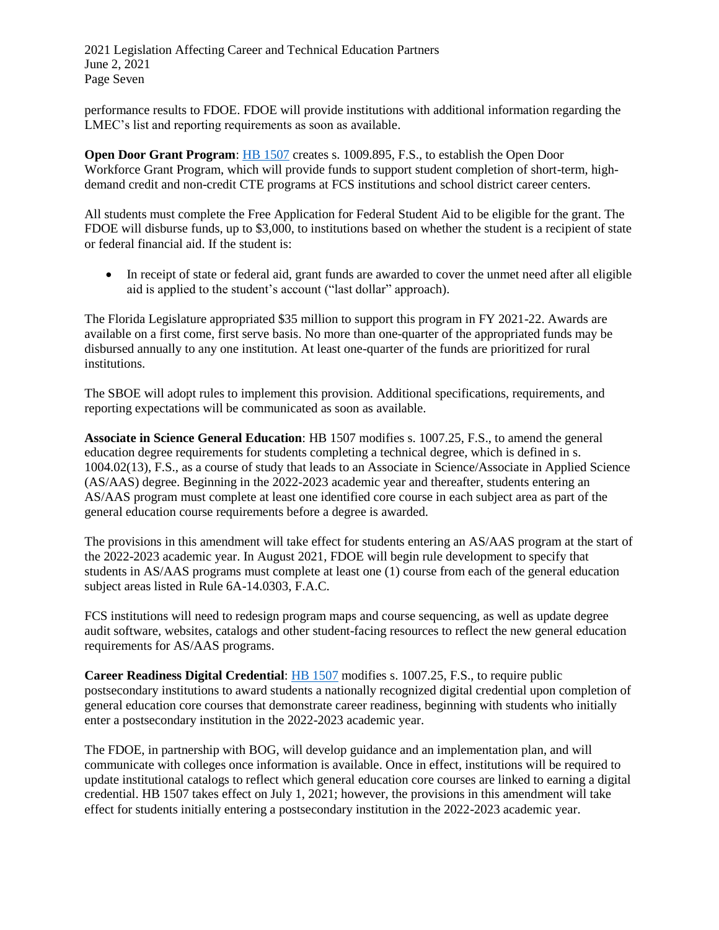2021 Legislation Affecting Career and Technical Education Partners June 2, 2021 Page Seven

performance results to FDOE. FDOE will provide institutions with additional information regarding the LMEC's list and reporting requirements as soon as available.

demand credit and non-credit CTE programs at FCS institutions and school district career centers. **Open Door Grant Program:** [HB 1507](https://www.flsenate.gov/Session/Bill/2021/1507/BillText/er/PDF) creates s. 1009.895, F.S., to establish the Open Door Workforce Grant Program, which will provide funds to support student completion of short-term, high-

 FDOE will disburse funds, up to \$3,000, to institutions based on whether the student is a recipient of state All students must complete the Free Application for Federal Student Aid to be eligible for the grant. The or federal financial aid. If the student is:

• In receipt of state or federal aid, grant funds are awarded to cover the unmet need after all eligible aid is applied to the student's account ("last dollar" approach).

 disbursed annually to any one institution. At least one-quarter of the funds are prioritized for rural The Florida Legislature appropriated \$35 million to support this program in FY 2021-22. Awards are available on a first come, first serve basis. No more than one-quarter of the appropriated funds may be institutions.

 The SBOE will adopt rules to implement this provision. Additional specifications, requirements, and reporting expectations will be communicated as soon as available.

 1004.02(13), F.S., as a course of study that leads to an Associate in Science/Associate in Applied Science AS/AAS program must complete at least one identified core course in each subject area as part of the **Associate in Science General Education**: HB 1507 modifies s. 1007.25, F.S., to amend the general education degree requirements for students completing a technical degree, which is defined in s. (AS/AAS) degree. Beginning in the 2022-2023 academic year and thereafter, students entering an general education course requirements before a degree is awarded.

 The provisions in this amendment will take effect for students entering an AS/AAS program at the start of the 2022-2023 academic year. In August 2021, FDOE will begin rule development to specify that students in AS/AAS programs must complete at least one (1) course from each of the general education subject areas listed in Rule 6A-14.0303, F.A.C.

FCS institutions will need to redesign program maps and course sequencing, as well as update degree audit software, websites, catalogs and other student-facing resources to reflect the new general education requirements for AS/AAS programs.

enter a postsecondary institution in the 2022-2023 academic year. **Career Readiness Digital Credential**: [HB 1507](https://www.flsenate.gov/Session/Bill/2021/1507/BillText/er/PDF) modifies [s. 1007.25, F.S.,](http://www.leg.state.fl.us/statutes/index.cfm?mode=View%20Statutes&SubMenu=1&App_mode=Display_Statute&Search_String=1007.25&URL=1000-1099/1007/Sections/1007.25.html) to require public postsecondary institutions to award students a nationally recognized digital credential upon completion of general education core courses that demonstrate career readiness, beginning with students who initially

The FDOE, in partnership with BOG, will develop guidance and an implementation plan, and will communicate with colleges once information is available. Once in effect, institutions will be required to update institutional catalogs to reflect which general education core courses are linked to earning a digital credential. HB 1507 takes effect on July 1, 2021; however, the provisions in this amendment will take effect for students initially entering a postsecondary institution in the 2022-2023 academic year.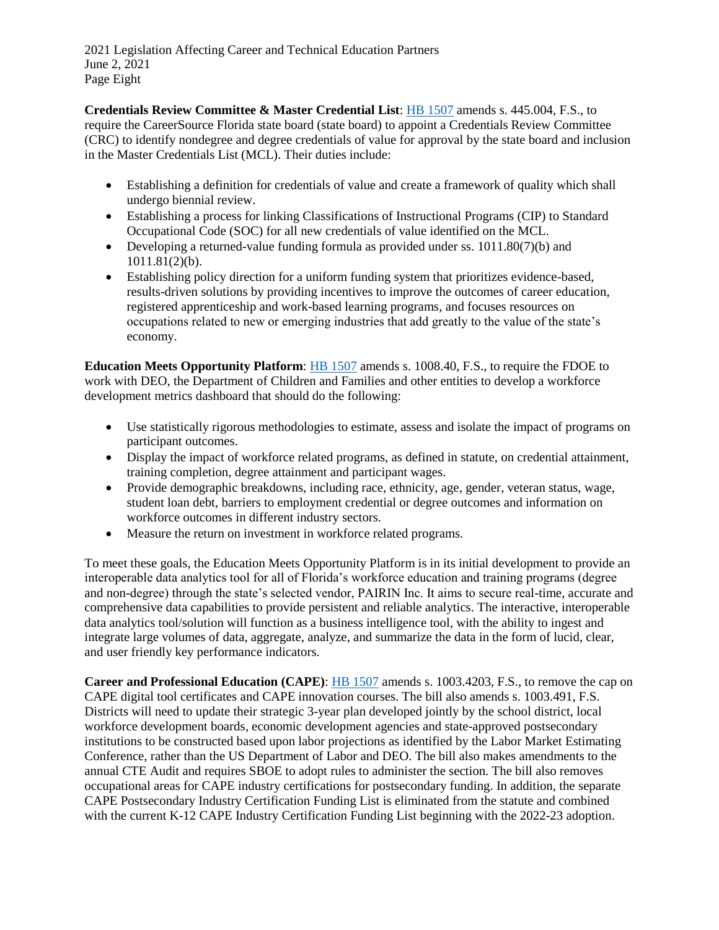2021 Legislation Affecting Career and Technical Education Partners June 2, 2021 Page Eight

 (CRC) to identify nondegree and degree credentials of value for approval by the state board and inclusion **Credentials Review Committee & Master Credential List**: [HB 1507](https://www.flsenate.gov/Session/Bill/2021/1507/BillText/er/PDF) amends [s. 445.004, F.S.,](http://www.leg.state.fl.us/statutes/index.cfm?mode=View%20Statutes&SubMenu=1&App_mode=Display_Statute&Search_String=445.004&URL=0400-0499/0445/Sections/0445.004.html) to require the CareerSource Florida state board (state board) to appoint a Credentials Review Committee in the Master Credentials List (MCL). Their duties include:

- Establishing a definition for credentials of value and create a framework of quality which shall undergo biennial review.
- Establishing a process for linking Classifications of Instructional Programs (CIP) to Standard Occupational Code (SOC) for all new credentials of value identified on the MCL.
- Developing a returned-value funding formula as provided under [ss. 1011.80\(7\)\(b\)](http://www.leg.state.fl.us/statutes/index.cfm?mode=View%20Statutes&SubMenu=1&App_mode=Display_Statute&Search_String=1011.80&URL=1000-1099/1011/Sections/1011.80.html) and [1011.81\(2\)\(b\).](http://www.leg.state.fl.us/statutes/index.cfm?mode=View%20Statutes&SubMenu=1&App_mode=Display_Statute&Search_String=1011.81&URL=1000-1099/1011/Sections/1011.81.html)
- occupations related to new or emerging industries that add greatly to the value of the state's Establishing policy direction for a uniform funding system that prioritizes evidence-based, results-driven solutions by providing incentives to improve the outcomes of career education, registered apprenticeship and work-based learning programs, and focuses resources on economy.

**Education Meets Opportunity Platform**: [HB 1507](https://www.flsenate.gov/Session/Bill/2021/1507/BillText/er/PDF) amends [s. 1008.40, F.S.,](http://www.leg.state.fl.us/statutes/index.cfm?mode=View%20Statutes&SubMenu=1&App_mode=Display_Statute&Search_String=445.004&URL=0400-0499/0445/Sections/0445.004.html) to require the FDOE to work with DEO, the Department of Children and Families and other entities to develop a workforce development metrics dashboard that should do the following:

- Use statistically rigorous methodologies to estimate, assess and isolate the impact of programs on participant outcomes.
- Display the impact of workforce related programs, as defined in statute, on credential attainment, training completion, degree attainment and participant wages.
- Provide demographic breakdowns, including race, ethnicity, age, gender, veteran status, wage, student loan debt, barriers to employment credential or degree outcomes and information on workforce outcomes in different industry sectors.
- Measure the return on investment in workforce related programs.

To meet these goals, the Education Meets Opportunity Platform is in its initial development to provide an interoperable data analytics tool for all of Florida's workforce education and training programs (degree and non-degree) through the state's selected vendor, PAIRIN Inc. It aims to secure real-time, accurate and comprehensive data capabilities to provide persistent and reliable analytics. The interactive, interoperable data analytics tool/solution will function as a business intelligence tool, with the ability to ingest and integrate large volumes of data, aggregate, analyze, and summarize the data in the form of lucid, clear, and user friendly key performance indicators.

**Career and Professional Education (CAPE)**: [HB 1507](https://www.flsenate.gov/Session/Bill/2021/1507/BillText/er/PDF) amends [s. 1003.4203, F.S.,](http://www.leg.state.fl.us/statutes/index.cfm?mode=View%20Statutes&SubMenu=1&App_mode=Display_Statute&Search_String=1003.4203&URL=1000-1099/1003/Sections/1003.4203.html) to remove the cap on CAPE digital tool certificates and CAPE innovation courses. The bill also amends [s. 1003.491, F.S.](http://www.leg.state.fl.us/statutes/index.cfm?mode=View%20Statutes&SubMenu=1&App_mode=Display_Statute&Search_String=1003.491&URL=1000-1099/1003/Sections/1003.491.html)  Districts will need to update their strategic 3-year plan developed jointly by the school district, local workforce development boards, economic development agencies and state-approved postsecondary institutions to be constructed based upon labor projections as identified by the Labor Market Estimating Conference, rather than the US Department of Labor and DEO. The bill also makes amendments to the annual CTE Audit and requires SBOE to adopt rules to administer the section. The bill also removes occupational areas for CAPE industry certifications for postsecondary funding. In addition, the separate CAPE Postsecondary Industry Certification Funding List is eliminated from the statute and combined with the current K-12 CAPE Industry Certification Funding List beginning with the 2022-23 adoption.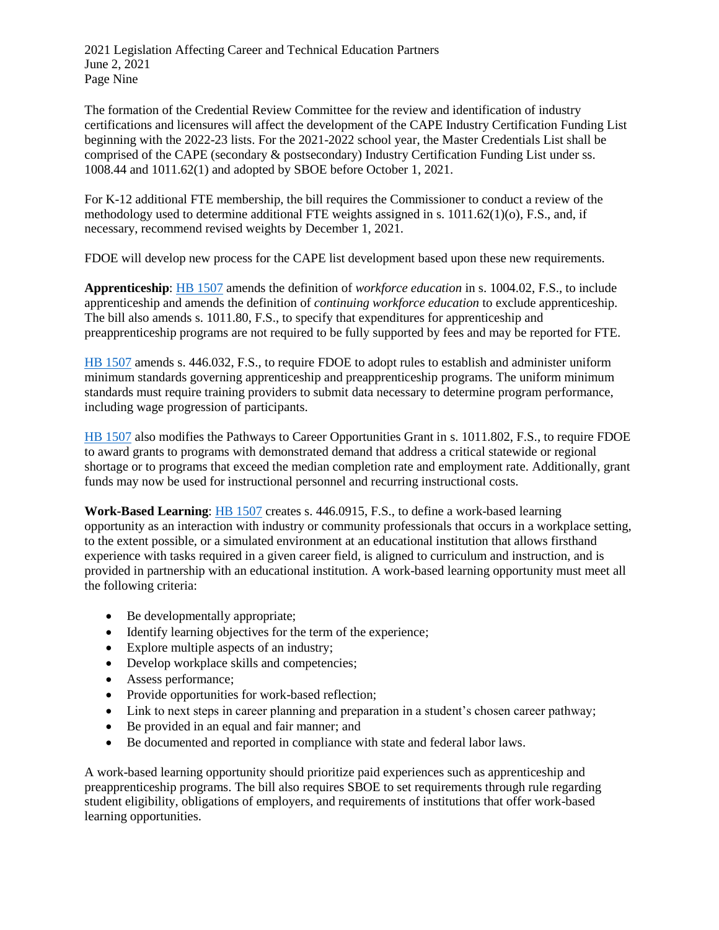2021 Legislation Affecting Career and Technical Education Partners June 2, 2021 Page Nine

 The formation of the Credential Review Committee for the review and identification of industry certifications and licensures will affect the development of the CAPE Industry Certification Funding List beginning with the 2022-23 lists. For the 2021-2022 school year, the Master Credentials List shall be comprised of the CAPE (secondary & postsecondary) Industry Certification Funding List under ss. 1008.44 and 1011.62(1) and adopted by SBOE before October 1, 2021.

For K-12 additional FTE membership, the bill requires the Commissioner to conduct a review of the methodology used to determine additional FTE weights assigned in s. 1011.62(1)(o), F.S., and, if necessary, recommend revised weights by December 1, 2021.

FDOE will develop new process for the CAPE list development based upon these new requirements.

**Apprenticeship**: [HB 1507](https://www.flsenate.gov/Session/Bill/2021/1507/BillText/er/PDF) amends the definition of *workforce education* in [s. 1004.02, F.S.,](http://www.leg.state.fl.us/statutes/index.cfm?mode=View%20Statutes&SubMenu=1&App_mode=Display_Statute&Search_String=1004.02&URL=1000-1099/1004/Sections/1004.02.html) to include apprenticeship and amends the definition of *continuing workforce education* to exclude apprenticeship. The bill also amends [s. 1011.80, F.S.,](http://www.leg.state.fl.us/statutes/index.cfm?mode=View%20Statutes&SubMenu=1&App_mode=Display_Statute&Search_String=1011.80&URL=1000-1099/1011/Sections/1011.80.html) to specify that expenditures for apprenticeship and preapprenticeship programs are not required to be fully supported by fees and may be reported for FTE.

[HB 1507](https://www.flsenate.gov/Session/Bill/2021/1507/BillText/er/PDF) amends s. 446.032, F.S., to require FDOE to adopt rules to establish and administer uniform minimum standards governing apprenticeship and preapprenticeship programs. The uniform minimum standards must require training providers to submit data necessary to determine program performance, including wage progression of participants.

[HB 1507](https://www.flsenate.gov/Session/Bill/2021/1507/BillText/er/PDF) also modifies the Pathways to Career Opportunities Grant in [s. 1011.802, F.S.,](http://www.leg.state.fl.us/statutes/index.cfm?mode=View%20Statutes&SubMenu=1&App_mode=Display_Statute&Search_String=PAthways+to+career&URL=1000-1099/1011/Sections/1011.802.html) to require FDOE to award grants to programs with demonstrated demand that address a critical statewide or regional shortage or to programs that exceed the median completion rate and employment rate. Additionally, grant funds may now be used for instructional personnel and recurring instructional costs.

**Work-Based Learning**: [HB 1507](https://www.flsenate.gov/Session/Bill/2021/1507/BillText/er/PDF) creates s. 446.0915, F.S., to define a work-based learning opportunity as an interaction with industry or community professionals that occurs in a workplace setting, to the extent possible, or a simulated environment at an educational institution that allows firsthand experience with tasks required in a given career field, is aligned to curriculum and instruction, and is provided in partnership with an educational institution. A work-based learning opportunity must meet all the following criteria:

- Be developmentally appropriate;
- Identify learning objectives for the term of the experience;
- Explore multiple aspects of an industry;
- Develop workplace skills and competencies;
- Assess performance;
- Provide opportunities for work-based reflection;
- Link to next steps in career planning and preparation in a student's chosen career pathway;
- Be provided in an equal and fair manner; and
- Be documented and reported in compliance with state and federal labor laws.

A work-based learning opportunity should prioritize paid experiences such as apprenticeship and preapprenticeship programs. The bill also requires SBOE to set requirements through rule regarding student eligibility, obligations of employers, and requirements of institutions that offer work-based learning opportunities.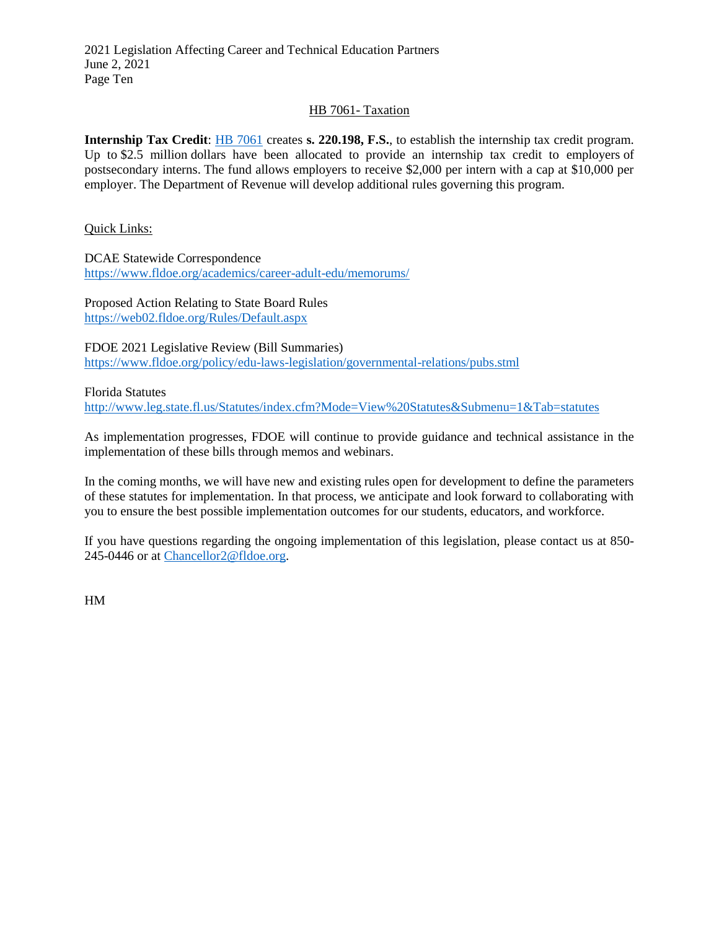2021 Legislation Affecting Career and Technical Education Partners June 2, 2021 Page Ten

### [HB 7061-](https://www.flsenate.gov/Session/Bill/2021/7061/BillText/er/PDF) Taxation

**Internship Tax Credit**: **HB** 7061 creates **s. 220.198, F.S.**, to establish the internship tax credit program. Up to \$2.5 million dollars have been allocated to provide an internship tax credit to employers of postsecondary interns. The fund allows employers to receive \$2,000 per intern with a cap at \$10,000 per employer. The Department of Revenue will develop additional rules governing this program.

Quick Links:

DCAE Statewide Correspondence <https://www.fldoe.org/academics/career-adult-edu/memorums/>

Proposed Action Relating to State Board Rules <https://web02.fldoe.org/Rules/Default.aspx>

FDOE 2021 Legislative Review (Bill Summaries) <https://www.fldoe.org/policy/edu-laws-legislation/governmental-relations/pubs.stml>

Florida Statutes

<http://www.leg.state.fl.us/Statutes/index.cfm?Mode=View%20Statutes&Submenu=1&Tab=statutes>

As implementation progresses, FDOE will continue to provide guidance and technical assistance in the implementation of these bills through memos and webinars.

 of these statutes for implementation. In that process, we anticipate and look forward to collaborating with In the coming months, we will have new and existing rules open for development to define the parameters you to ensure the best possible implementation outcomes for our students, educators, and workforce.

 If you have questions regarding the ongoing implementation of this legislation, please contact us at 850- 245-0446 or at [Chancellor2@fldoe.org.](mailto:Chancellor2@fldoe.org)

HM